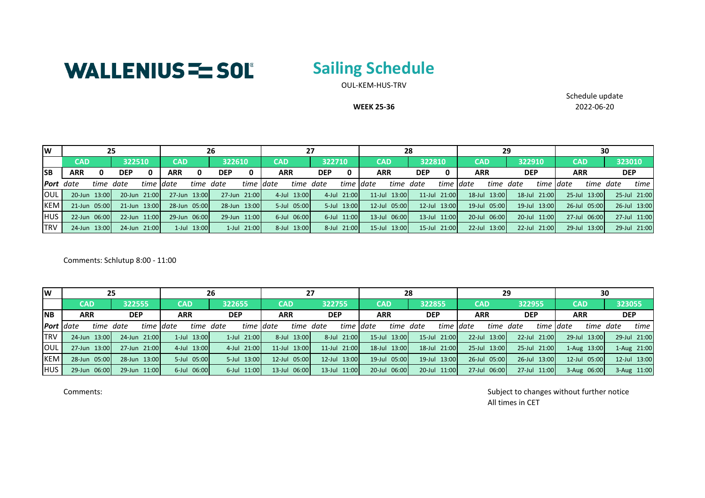

## **Sailing Schedule**

OUL-KEM-HUS-TRV

**WEEK 25-36**

Schedule update 2022-06-20

| lw               | 25                            |  |              |              | 26           |             |              |             |            | 27          |        |             |  | 28           |            |              |            | 29           |            |              |            |              | 30     |              |  |
|------------------|-------------------------------|--|--------------|--------------|--------------|-------------|--------------|-------------|------------|-------------|--------|-------------|--|--------------|------------|--------------|------------|--------------|------------|--------------|------------|--------------|--------|--------------|--|
|                  | <b>CAD</b>                    |  | 322510       |              | <b>CAD</b>   |             | 322610       |             | <b>CAD</b> |             | 322710 |             |  | <b>CAD</b>   |            | 322810       |            | <b>CAD</b>   | 322910     |              | CAD        |              | 323010 |              |  |
| <b>SB</b>        | <b>ARR</b><br><b>DEP</b><br>0 |  | ARR          | <b>DEP</b>   |              |             | <b>ARR</b>   |             | <b>DEP</b> |             |        | <b>ARR</b>  |  |              | <b>ARR</b> |              | <b>DEP</b> |              | <b>ARR</b> |              | <b>DEP</b> |              |        |              |  |
| <b>Port</b> date | time date<br>time date        |  |              | time date    |              | time Idate  |              | time date   |            | time date   |        | time date   |  | time Idate   | time date  |              | time Idate |              |            | time date    |            | time         |        |              |  |
| OUL              | 20-Jun 13:00                  |  | 20-Jun 21:00 |              | 27-Jun 13:00 |             | 27-Jun 21:00 |             | 4-Jul      | 13:00       |        | 4-Jul 21:00 |  | 11-Jul 13:00 |            | 11-Jul 21:00 |            | 18-Jul 13:00 | $18$ -Jul  | 21:00        |            | 25-Jul 13:00 |        | 25-Jul 21:00 |  |
| <b>KEM</b>       | 21-Jun 05:00                  |  |              | 21-Jun 13:00 | 28-Jun 05:00 |             | 28-Jun 13:00 |             |            | 5-Jul 05:00 |        | 5-Jul 13:00 |  | 12-Jul 05:00 |            | 12-Jul 13:00 |            | 19-Jul 05:00 | $19$ -Jul  | 13:00        |            | 26-Jul 05:00 |        | 26-Jul 13:00 |  |
| IHUS.            | 22-Jun 06:00                  |  |              | 22-Jun 11:00 | 29-Jun 06:00 |             | 29-Jun 11:00 |             |            | 6-Jul 06:00 |        | 6-Jul 11:00 |  | 13-Jul 06:00 |            | 13-Jul 11:00 |            | 20-Jul 06:00 |            | 20-Jul 11:00 |            | 27-Jul 06:00 |        | 27-Jul 11:00 |  |
| <b>TRV</b>       | 24-Jun 13:00                  |  |              | 24-Jun 21:00 |              | 1-Jul 13:00 |              | 1-Jul 21:00 |            | 8-Jul 13:00 |        | 8-Jul 21:00 |  | 15-Jul 13:00 |            | 15-Jul 21:00 |            | 22-Jul 13:00 |            | 22-Jul 21:00 |            | 29-Jul 13:00 |        | 29-Jul 21:00 |  |

Comments: Schlutup 8:00 - 11:00

| lw               | 25                      |              |            | 26           |                         |             |            |             | 27         |              |            |              | 28         |              |            |              | 29         |              |            |              | 30         |              |            |              |
|------------------|-------------------------|--------------|------------|--------------|-------------------------|-------------|------------|-------------|------------|--------------|------------|--------------|------------|--------------|------------|--------------|------------|--------------|------------|--------------|------------|--------------|------------|--------------|
|                  | CAD                     |              | 322555     |              | CAD                     |             | 322655     |             | <b>CAD</b> |              | 322755     |              |            | <b>CAD</b>   |            | 322855       |            | <b>CAD</b>   | 322955     |              | <b>CAD</b> |              | 323055     |              |
| <b>INB</b>       | <b>ARR</b>              |              | <b>DEP</b> |              | <b>ARR</b>              |             | <b>DEP</b> |             | <b>ARR</b> |              | <b>DEP</b> |              | <b>ARR</b> |              | <b>DEP</b> |              | <b>ARR</b> |              | <b>DEP</b> |              | <b>ARR</b> |              | <b>DEP</b> |              |
| <b>Port</b> date | time date<br>time Idate |              |            |              | time date<br>time Idate |             |            | time date   |            | time date    |            | time date    |            | time date    |            | time date    |            | time date    |            | time date    |            | time         |            |              |
| <b>ITRV</b>      |                         | 24-Jun 13:00 |            | 24-Jun 21:00 |                         | 1-Jul 13:00 |            | 1-Jul 21:00 |            | 8-Jul 13:00  |            | 8-Jul 21:00  |            | 15-Jul 13:00 |            | 15-Jul 21:00 |            | 22-Jul 13:00 |            | 22-Jul 21:00 | $29$ -Jul  | 13:00        |            | 29-Jul 21:00 |
| <b>OUL</b>       |                         | 27-Jun 13:00 |            | 27-Jun 21:00 |                         | 4-Jul 13:00 |            | 4-Jul 21:00 |            | 11-Jul 13:00 |            | 11-Jul 21:00 |            | 18-Jul 13:00 |            | 18-Jul 21:00 |            | 25-Jul 13:00 |            | 25-Jul 21:00 |            | 1-Aug 13:00  |            | 1-Aug 21:00  |
| <b>KEM</b>       |                         | 28-Jun 05:00 |            | 28-Jun 13:00 |                         | 5-Jul 05:00 |            | 5-Jul 13:00 | $12$ -Jul  | 05:00        |            | 12-Jul 13:00 |            | 19-Jul 05:00 |            | 19-Jul 13:00 |            | 26-Jul 05:00 |            | 26-Jul 13:00 |            | 12-Jul 05:00 |            | 12-Jul 13:00 |
| <b>HUS</b>       |                         | 29-Jun 06:00 |            | 29-Jun 11:00 |                         | 6-Jul 06:00 |            | 6-Jul 11:00 | $13$ -Jul  | 06:00        |            | 13-Jul 11:00 |            | 20-Jul 06:00 |            | 20-Jul 11:00 |            | 27-Jul 06:00 |            | 27-Jul 11:00 |            | 3-Aug 06:00  |            | 3-Aug 11:00  |

Comments: Subject to changes without further notice All times in CET